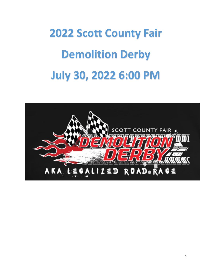# **2022 Scott County Fair Demolition Derby July 30, 2022 6:00 PM**

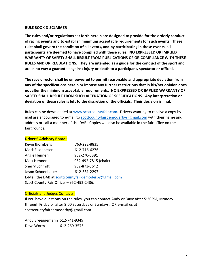#### **RULE BOOK DISCLAIMER**

**The rules and/or regulations set forth herein are designed to provide for the orderly conduct of racing events and to establish minimum acceptable requirements for such events. These rules shall govern the condition of all events, and by participating in these events, all participants are deemed to have complied with these rules. NO EXPRESSED OR IMPLIED WARRANTY OF SAFETY SHALL RESULT FROM PUBLICATIONS OF OR COMPLIANCE WITH THESE RULES AND OR REGULATIONS. They are intended as a guide for the conduct of the sport and are in no way a guarantee against injury or death to a participant, spectator or official.**

**The race director shall be empowered to permit reasonable and appropriate deviation from any of the specifications herein or impose any further restrictions that in his/her opinion does not alter the minimum acceptable requirements. NO EXPRESSED OR IMPLIED WARRANTY OF SAFETY SHALL RESULT FROM SUCH ALTERATION OF SPECIFICATIONS. Any interpretation or deviation of these rules is left to the discretion of the officials. Their decision is final.**

Rules can be downloaded at [www.scottcountyfair.com.](http://www.scottcountyfair.com/)Drivers wanting to receive a copy by mail are encouraged to e-mail to [scottcountyfairdemoderby@gmail.com](mailto:scottcountyfairdemoderby@gmail.com) with their name and address or call a member of the DAB. Copies will also be available in the fair office on the fairgrounds.

## **Drivers' Advisory Board:**

| Kevin Bjornberg                                      | 763-222-8835         |  |  |  |
|------------------------------------------------------|----------------------|--|--|--|
| Mark Elsenpeter                                      | 612-716-6276         |  |  |  |
| Angie Hennen                                         | 952-270-5391         |  |  |  |
| Matt Hennen                                          | 952-492-7815 (chair) |  |  |  |
| <b>Sherry Schmitt</b>                                | 952-873-5642         |  |  |  |
| Jason Schoenbauer                                    | 612-581-2297         |  |  |  |
| E-Mail the DAB at scottcountyfairdemoderby@gmail.com |                      |  |  |  |
| Scott County Fair Office - 952-492-2436.             |                      |  |  |  |

#### Officials and Judges Contacts:

If you have questions on the rules, you can contact Andy or Dave after 5:30PM, Monday through Friday or after 9:00 Saturdays or Sundays. OR e-mail us at scottcountyfairdemoderby@gmail.com.

Andy Breeggemann 612-741-9349 Dave Worm 612-269-3576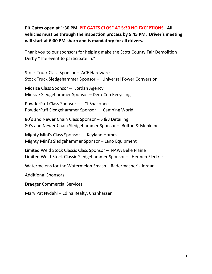# **Pit Gates open at 1:30 PM. PIT GATES CLOSE AT 5:30 NO EXCEPTIONS. All vehicles must be through the inspection process by 5:45 PM. Driver's meeting will start at 6:00 PM sharp and is mandatory for all drivers.**

Thank you to our sponsors for helping make the Scott County Fair Demolition Derby "The event to participate in."

Stock Truck Class Sponsor – ACE Hardware Stock Truck Sledgehammer Sponsor – Universal Power Conversion

Midsize Class Sponsor – Jordan Agency Midsize Sledgehammer Sponsor – Dem-Con Recycling

PowderPuff Class Sponsor – JCI Shakopee PowderPuff Sledgehammer Sponsor – Camping World

80's and Newer Chain Class Sponsor – S & J Detailing 80's and Newer Chain Sledgehammer Sponsor – Bolton & Menk Inc

Mighty Mini's Class Sponsor – Keyland Homes Mighty Mini's Sledgehammer Sponsor – Lano Equipment

Limited Weld Stock Classic Class Sponsor – NAPA Belle Plaine Limited Weld Stock Classic Sledgehammer Sponsor – Hennen Electric

Watermelons for the Watermelon Smash – Radermacher's Jordan

Additional Sponsors:

Draeger Commercial Services

Mary Pat Nydahl – Edina Realty, Chanhassen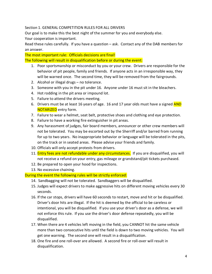#### Section 1. GENERAL COMPETITION RULES FOR ALL DRIVERS

Our goal is to make this the best night of the summer for you and everybody else.

Your cooperation is important.

Read these rules carefully. If you have a question – ask. Contact any of the DAB members for an answer.

The most important rule: Officials decisions are final! The following will result in disqualification before or during the event:

- 1. Poor sportsmanship or misconduct by you or your crew. Drivers are responsible for the behavior of pit people, family and friends. If anyone acts in an irresponsible way, they will be warned once. The second time, they will be removed from the fairgrounds.
- 2. Alcohol or illegal drugs no tolerance.
- 3. Someone with you in the pit under 16. Anyone under 16 must sit in the bleachers.
- 4. Hot rodding in the pit area or impound lot.
- 5. Failure to attend the drivers meeting.
- 6. Drivers must be at least 16 years of age. 16 and 17 year olds must have a signed AND NOTARIZED entry form.
- 7. Failure to wear a helmet, seat belt, protective shoes and clothing and eye protection.
- 8. Failure to have a working fire extinguisher in pit areas.
- 9. Any harassment of judges, fair board members, announcer or other crew members will not be tolerated. You may be escorted out by the Sherriff and/or barred from running for up to two years. No inappropriate behavior or language will be tolerated in the pits, on the track or in seated areas. Please advise your friends and family.
- 10. Officials will only accept protests from drivers.
- 11. Entry fees are not refundable under any circumstances. If you are disqualified, you will not receive a refund on your entry, gas mileage or grandstand/pit tickets purchased.
- 12. Be prepared to open your hood for inspections.
- 13. No excessive chaining.

## During the event the following rules will be strictly enforced:

- 14. Sandbagging will not be tolerated. Sandbaggers will be disqualified.
- 15. Judges will expect drivers to make aggressive hits on different moving vehicles every 30 seconds.
- 16. If the car stops, drivers will have 60 seconds to restart, move and hit or be disqualified. Driver's door hits are illegal. If the hit is deemed by the official to be careless or intentional, you will be disqualified. If you use your driver's door as a defense, we will not enforce this rule. If you use the driver's door defense repeatedly, you will be disqualified.
- 17. When there are 4 vehicles left moving in the field, you CANNOT hit the same vehicle more than two consecutive hits until the field is down to two moving vehicles. You will get one warning. The second one will result in a disqualification.
- 18. One fire and one roll-over are allowed. A second fire or roll-over will result in disqualification.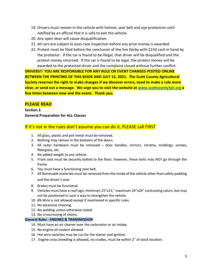- 19. Drivers must remain in the vehicle with helmet, seat belt and eye protection until notified by an official that it is safe to exit the vehicle.
- 20. Any open door will cause disqualification.
- 21. All cars are subject to post-race inspection before any prize money is awarded.
- 22. Protest must be filed before the conclusion of the live Derby with \$150 cash in hand by the protestor. If the car is found to be illegal, that driver will be disqualified and the protest money returned. If the car is found to be legal, the protest money will be awarded to the protested driver and the complaint closed without further conflict.

**DRIVERS!! YOU ARE RESPONSIBLE FOR ANY RULE OR EVENT CHANGES POSTED ONLINE BETWEEN THE PRINTING OF THIS BOOK AND JULY 15, 2021. The Scott County Agricultural Society reserves the right to make changes if we discover errors, need to make a rule more clear, or send out a message. We urge you to visit the website at [www.scottcountyfair.org](http://www.scottcountyfair.org/) a few times between now and the event. Thank you.**

## **PLEASE READ**

**Section 2. General Preparation for ALL Classes**

## If it's not in the rules don't assume you can do it, PLEASE call FIRST

- 1. All glass, plastic and pot metal must be removed.
- 2. Nothing may remain in the bottoms of the doors.
- 3. All outer hardware must be removed door handles, mirrors, chrome, moldings, screws, fiberglass, etc.
- 4. No added weight to any vehicle.
- 5. Front seat must be securely bolted to the floor; however, these bolts may NOT go through the frame.
- 6. You must have a functioning seat belt.
- 7. All flammable materials must be removed from the inside of the vehicle other than safety padding and the driver's seat.
- 8. Brakes must be functional.
- 9. Vehicles must have a roof sign, minimum 15"x15," maximum 24"x24" contrasting colors, but may not be positioned in such a way to strengthen the vehicle.
- 10. #9-Wire is not allowed except if mentioned in specific rules.
- 11. No excessive chaining.
- 12. No welding unless otherwise noted.
- 13. No crisscrossing of chains.

#### **General Rules - ENGINES & TRANSMISSION**

- 14. Must have an air cleaner over the carburetor or air intake.
- 15. No engine oil coolers allowed.
- 16. Hot wire switches may be run for the starter and ignition.
- 17. Engine cross breeding is allowed, no cradles, must be within 2" of stock location.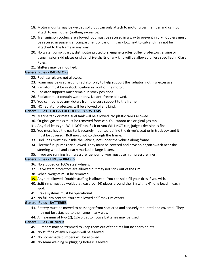- 18. Motor mounts may be welded solid but can only attach to motor cross member and cannot attach to each other (nothing excessive).
- 19. Transmission coolers are allowed, but must be secured in a way to prevent injury. Coolers must be secured in passenger compartment of car or in truck box next to cab and may not be attached to the frame in any way.
- 20. No water pump guards, distributor protectors, engine cradles pulley protectors, engine or transmission skid plates or slider drive shafts of any kind will be allowed unless specified in Class Rules.
- 21. Shifters may be modified.

#### **General Rules - RADIATORS**

- 22. Radi-barrels are not allowed.
- 23. Foam may be used around radiator only to help support the radiator, nothing excessive
- 24. Radiator must be in stock position in front of the motor.
- 25. Radiator supports must remain in stock positions.
- 26. Radiator must contain water only. No anti-freeze allowed.
- 27. You cannot have any kickers from the core support to the frame.
- 28. NO radiator protectors will be allowed of any kind.

#### **General Rules - FUEL & FUEL DELIVERY SYSTEMS**

- 29. Marine tank or metal fuel tank will be allowed. No plastic tanks allowed.
- 30. Original gas tanks must be removed from car. You cannot use original gas tank!
- 31. Any fuel leaks you WILL NOT run, fix it or you WILL NOT run, judge's decision is final.
- 32. You must have the gas tank securely mounted behind the driver's seat or in truck box and it must be covered. Bolt must not go through the frame.
- 33. Fuel lines must run inside the vehicle, not under the vehicle along frame.
- 34. Electric fuel pumps are allowed. They must be covered and have an on/off switch near the steering wheel and clearly marked in large letters.
- 35. If you are running high pressure fuel pump, you must use high pressure lines.

#### **General Rules - TIRES & BRAKES**

- 36. No studded or 100% steel wheels.
- 37. Valve stem protectors are allowed but may not stick out of the rim.
- 38. Wheel weights must be removed.
- 39. Any tire allowed. Double stuffing is allowed. You can solid fill your tires if you wish.
- 40. Split rims must be welded at least four (4) places around the rim with a 4" long bead in each spot.
- 41. Brake systems must be operational.
- 42. No full rim centers. You are allowed a 9" max rim center.

#### **General Rules - BATTERIES**

- 43. Battery must be moved to passenger front seat area and securely mounted and covered. They may not be attached to the frame in any way.
- 44. A maximum of two (2), 12-volt automotive batteries may be used.

#### **General Rules - BUMPER**

- 45. Bumpers may be trimmed to keep them out of the tires but no sharp points.
- 46. No stuffing of any bumpers will be allowed.
- 47. No homemade bumpers will be allowed.
- 48. No seam welding or plugging holes is allowed.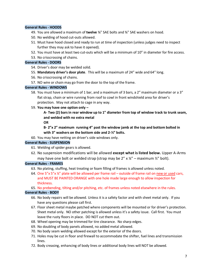#### **General Rules - HOODS**

- 49. You are allowed a maximum of **twelve** ⅜" SAE bolts and ⅜" SAE washers on hood.
- 50. No welding of hood cut-outs allowed.
- 51. Must have hood closed and ready to run at time of inspection (unless judges need to inspect further they may ask to have it opened).
- 52. You must have at least two cut-outs which will be a minimum of 10" in diameter for fire access.
- 53. No crisscrossing of chains.

#### **General Rules - DOORS**

- 54. Driver's door may be welded solid.
- 55. **Mandatory driver's door plate**. This will be a maximum of 24" wide and 64" long.
- 56. No crisscrossing of chains.
- 57. NO wire or chain may go from the door to the top of the frame.

#### **General Rules - WINDOWS**

- 58. You must have a minimum of 1 bar, and a maximum of 3 bars, a 2" maximum diameter or a 3" flat strap, chain or wire running from roof to cowl in front windshield area for driver's protection. May not attach to cage in any way.
- 59. **You may have one option only –**

## **A- Two (2) bars in rear window up to 1" diameter from top of window track to trunk seam, and welded with no extra metal**

**OR** 

**B- 2"x 2" maximum running 4" past the window jamb at the top and bottom bolted in with 3" washers on the bottom side and 2-½" bolts.**

60. You may have netting on driver's side windows only.

#### **General Rules - SUSPENSION**

- 61. Welding of spider gears is allowed.
- 62. No suspension modifications will be allowed **except what is listed below.** Upper A-Arms may have one bolt or welded strap (strap may be  $2'' \times \frac{1}{4}'' -$  maximum  $\frac{1}{2}''$  bolt).

#### **General Rules - FRAMES**

- 63. No plating, stuffing, heat treating or foam filling of frames is allowed unless noted.
- 64. One 5"x 5"x  $\frac{1}{4}$ " plate will be allowed per frame rail outside of frame rail on new or used cars, and MUST BE PAINTED ORANGE with one hole made large enough to allow inspection for thickness.

65. No prebending, tilting and/or pitching, etc. of frames unless noted elsewhere in the rules.

#### **General Rules - BODY**

- 66. No body repairs will be allowed. Unless it is a safety factor and with sheet metal only. If you have any questions please call first.
- 67. Floor sheet metal maybe patched where components will be mounted or for driver's protection. Sheet metal only. NO other patching is allowed unless it's a safety issue. Call first. You must leave the rusty floors in place. DO NOT cut them out.
- 68. Wheel opening may be trimmed for tire clearance. No sharp edges.
- 69. No doubling of body panels allowed, no added metal allowed.
- 70. No body seam welding allowed except for the exterior of the doors.
- 71. Holes may be cut in floor and firewall to accommodate the shifter, fuel lines and transmission lines.
- 72. Body creasing, enhancing of body lines or additional body lines will NOT be allowed.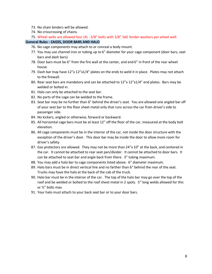- 73. No chain binders will be allowed.
- 74. No crisscrossing of chains.
- 75. Wheel wells are allowed four (4) 3/8" bolts with 3/8" SAE fender washers per wheel well.

#### **General Rules - CAGES, DOOR BARS AND HALO**

- 76. No cage components may attach to or conceal a body mount.
- 77. You may use channel iron or tubing up to 6" diameter for your cage component (door bars, seat bars and dash bars)
- 78. Door bars must be 6" from the fire wall at the center, and end 6" in front of the rear wheel house.
- 79. Dash bar may have  $12''x12''x1/4''$  plates on the ends to weld it in place. Plates may not attach to the firewall.
- 80. Rear seat bars are mandatory and can be attached to  $12''x12''x1/4''$  end plates. Bars may be welded or bolted in.
- 81. Halo can only be attached to the seat bar.
- 82. No parts of the cage can be welded to the frame.
- 83. Seat bar may be no further than 6" behind the driver's seat. You are allowed one angled bar off of your seat bar to the floor sheet metal only that runs across the car from driver's side to passenger side.
- 84. No kickers, angled or otherwise, forward or backward.
- 85. All horizontal cage bars must be at least 12" off the floor of the car, measured at the body bolt elevation.
- 86. All cage components must be in the interior of the car, not inside the door structure with the exception of the driver's door. This door bar may be inside the door to allow more room for driver's safety.
- 87. Gas protectors are allowed. They may not be more than 24"x 10" at the back, and centered in the car. It cannot be attached to rear seat pan/divider. It cannot be attached to door bars. It can be attached to seat bar and angle back from there. 3" tubing maximum.
- 88. You may add a halo bar to cage components listed above. 6" diameter maximum.
- 89. Halo bars must be in direct vertical line and no farther than 6" behind the rear of the seat. Trucks may have the halo at the back of the cab of the truck.
- 90. Halo bar must be in the interior of the car. The top of the halo bar may go over the top of the roof and be welded or bolted to the roof sheet metal in 2 spots. 5" long welds allowed for this or ½" bolts max.
- 91. Your halo must attach to your back seat bar or to your door bars.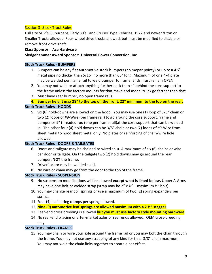## Section 3. Stock Truck Rules

Full size SUV's, Suburbans, Early 80's Land Cruiser Type Vehicles, 1972 and newer ¾ ton or Smaller Trucks allowed. Four-wheel drive trucks allowed, but must be modified to disable or remove front drive shaft.

#### **Class Sponsor: Ace Hardware**

#### **Sledgehammer Award Sponsor: Universal Power Conversion, Inc**

#### **Stock Truck Rules - BUMPERS**

- 1. Bumpers can be any flat automotive stock bumpers (no mopar pointy) or up to a  $4\frac{1}{2}$ " metal pipe no thicker than 5/16" no more than 66" long. Maximum of one 4x4 plate may be welded per frame rail to weld bumper to frame. Ends must remain OPEN.
- 2. You may not weld or attach anything further back than 4" behind the core support to the frame unless the factory mounts for that make and model truck go farther than that.
- 3. Must have rear bumper, no open frame rails.
- **4. Bumper height max 28" to the top on the front, 22" minimum to the top on the rear.**

## **Stock Truck Rules - HOODS**

5. Six (6) hold-downs are allowed on the hood. You may use one (1) loop of 3/8" chain or two (2) loops of #9-Wire (per frame rail) to go around the core support, frame and bumper or 1" threaded rod (one per frame rail)at the core support that can be welded in. The other four (4) hold downs can be 3/8" chain or two (2) loops of #9-Wire from sheet metal to hood sheet metal only. No plates or reinforcing of chain/wire hole allowed.

## **Stock Truck Rules - DOORS & TAILGATES**

- 6. Doors and tailgate may be chained or wired shut. A maximum of six (6) chains or wire per door or tailgate. On the tailgate two (2) hold downs may go around the rear bumper, **NOT** the frame.
- 7. Driver's door may be welded solid.
- 8. No wire or chain may go from the door to the top of the frame.

## **Stock Truck Rules - SUSPENSION**

- 9. No suspension modifications will be allowed **except what is listed below.** Upper A-Arms may have one bolt or welded strap (strap may be  $2'' \times 1/4'' -$  maximum  $1/2''$  bolt).
- 10. You may change rear coil springs or use a maximum of two (2) spring expanders per spring.
- 11. Four (4) leaf spring clamps per spring allowed.
- 12. **Nine (9) automotive leaf springs are allowed maximum with a 2 ½" stagger**.
- 13. Rear-end cross breeding is allowed **but you must use factory style mounting hardware**.
- 14. No rear-end bracing or after-market axles or rear ends allowed. OEM cross-breeding only.

## **Stock Truck Rules - FRAMES**

15. You may chain or wire your axle around the frame rail or you may bolt the chain through the frame. You may not use any strapping of any kind for this. 3/8" chain maximum. You may not weld the chain links together to create a bar effect.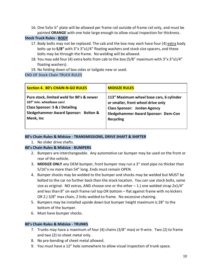16. One 5x5x  $\frac{1}{4}$ " plate will be allowed per frame rail outside of frame rail only, and must be painted **ORANGE** with one hole large enough to allow visual inspection for thickness.

## **Stock Truck Rules - BODY**

- 17. Body bolts may not be replaced. The cab and the box may each have four (4) extra body bolts up to **5/8"** with 3"x 3"x1/4" floating washers and stock size spacers, and these bolts may be through the frame. No welding will be allowed.
- 18. You may add four (4) extra bolts from cab to the box (5/8" maximum with 3"x 3"x1/4" floating washers).
- 19. No folding down of box sides or tailgate new or used.

END OF Stock Chain TRUCK RULES

| <b>Section 4. 80's CHAIN-N-GO RULES</b>   | <b>MIDSIZE RULES</b>                       |
|-------------------------------------------|--------------------------------------------|
| Pure stock, limited weld for 80's & newer | 113" Maximum wheel base cars, 6 cylinder   |
| 107" min. wheelbase cars!                 | or smaller, front wheel drive only         |
| <b>Class Sponsor: S &amp; J Detailing</b> | <b>Class Sponsor: Jordan Agency</b>        |
| Sledgehammer Award Sponsor: Bolton &      | <b>Sledgehammer Award Sponsor: Dem-Con</b> |
| Menk, Inc                                 | <b>Recycling</b>                           |

## **80's Chain Rules & Midsize - TRANSMISSIONS, DRIVE SHAFT & SHIFTER**

1. No slider drive shafts.

## **80's Chain Rules & Midsize - BUMPERS**

- 2. Bumpers are interchangeable. Any automotive car bumper may be used on the front or rear of the vehicle.
- 3. **MIDSIZE ONLY** any OEM bumper, front bumper may run a 3" steel pipe no thicker than 5/16"x no more than 54" long. Ends must remain OPEN.
- 4. Bumper shocks may be welded to the bumper and shocks may be welded but MUST be bolted to the car no further back than the stock location. You can use stock bolts, same size as original. NO extras, AND choose one or the other  $-1$ .) one welded strap 2x1/4" and less than 8" on each frame rail top OR bottom – flat against frame with no kickers OR 2.) 3/8" max chain, 2 links welded to frame. No excessive chaining.
- 5. Bumpers may be installed upside down but bumper height maximum is 28" to the bottom of the bumper.
- 6. Must have bumper shocks.

## **80's Chain Rules & Midsize - TRUNKS**

- 7. Trunks may have a maximum of four (4) chains (3/8" max) or 9-wire. Two (2) to frame and two (2) to sheet metal only.
- 8. No pre-bending of sheet metal allowed.
- 9. You must have a 12" hole somewhere to allow visual inspection of trunk space.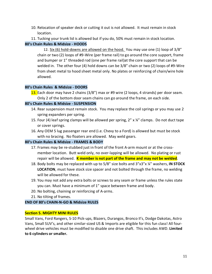- 10. Relocation of speaker deck or cutting it out is not allowed. It must remain in stock location.
- 11. Tucking your trunk lid is allowed but if you do, 50% must remain in stock location.

## **80's Chain Rules & Midsize - HOODS**

12. Six (6) hold-downs are allowed on the hood. You may use one (1) loop of 3/8" chain or two (2) loops of #9-Wire (per frame rail) to go around the core support, frame and bumper or 1" threaded rod (one per frame rail)at the core support that can be welded in. The other four (4) hold downs can be 3/8" chain or two (2) loops of #9-Wire from sheet metal to hood sheet metal only. No plates or reinforcing of chain/wire hole allowed.

#### **80's Chain Rules & Midsize - DOORS**

13. Each door may have 2 chains (3/8") max or #9 wire (2 loops, 4 strands) per door seam. Only 2 of the bottom door seam chains can go around the frame, on each side.

## **80's Chain Rules & Midsize - SUSPENSION**

- 14. Rear suspension must remain stock. You may replace the coil springs or you may use 2 spring expanders per spring.
- 15. Four (4) leaf spring clamps will be allowed per spring,  $2'' \times 4''$  clamps. Do not duct tape or cover springs.
- 16. Any OEM 5 lug passenger rear end (i.e. Chevy to a Ford) is allowed but must be stock with no bracing. No floaters are allowed. May weld gears.

## **80's Chain Rules & Midsize - FRAMES & BODY**

- 17. Frames may be re-stubbed just in front of the front A-arm mount or at the crossmember location. Butt weld only, no over-lapping will be allowed. No plating or rust repair will be allowed. **K member is not part of the frame and may not be welded**.
- 18. Body bolts may be replaced with up to 5/8" size bolts and 3"x3"x ¼" washers, **IN STOCK LOCATION**, must have stock size spacer and not bolted through the frame, no welding will be allowed for these.
- 19. You may not add any extra bolts or screws to any seam or frame unless the rules state you can. Must have a minimum of 1" space between frame and body.
- 20. No bolting, chaining or reinforcing of A-arms.
- 21. No tilting of frames.

## **END OF 80's CHAIN-N-GO & Midsize RULES**

## **Section 5. MIGHTY MINI RULES**

Small Vans, Ford Rangers, S-10 Pick-ups, Blazers, Durangos, Bronco II's, Dodge Dakotas, Astro Vans, Small SUV's, and other similar-sized US & Imports are eligible for this fun class! All fourwheel drive vehicles must be modified to disable one drive shaft. This includes AWD. **Limited to 6 cylinders or smaller.**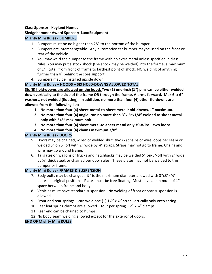## **Class Sponsor: Keyland Homes Sledgehammer Award Sponsor: LanoEquipment Mighty Mini Rules - BUMPERS**

- 1. Bumpers must be no higher than 28" to the bottom of the bumper.
- 2. Bumpers are interchangeable. Any automotive car bumper maybe used on the front or rear of the vehicle.
- 3. You may weld the bumper to the frame with no extra metal unless specified in class rules. You may put a stock shock (the shock may be welded) into the frame, a maximum of 14" total, from front of frame to farthest point of shock. NO welding of anything further than 4" behind the core support.
- 4. Bumpers may be installed upside down.

## **Mighty Mini Rules – HOODS – SIX HOLD-DOWNS ALLOWED TOTAL**

**Six (6) hold-downs are allowed on the hood. Two (2) one-inch (1") pins can be either welded down vertically to the side of the frame OR through the frame, A-arms forward. Max 6"x 6" washers, not welded (floating). In addition, no more than four (4) other tie-downs are allowed from the following list:** 

- **1. No more than four (4) sheet-metal-to-sheet metal hold-downs, 1" maximum.**
- **2. No more than four (4) angle iron no more than 3"x 6"x1/4" welded to sheet metal only with 3/8" maximum bolt.**
- **3. No more than four (4) sheet metal-to-sheet metal only #9-Wire – two loops.**
- **4. No more than four (4) chains maximum 3/8".**

## **Mighty Mini Rules - DOORS**

- 5. Doors may be chained, wired or welded shut: two (2) chains or wire loops per seam or welded 5" on 5" off with 2" wide by 1/4" straps. Straps may not go to frame. Chains and wire may go around frame.
- 6. Tailgates on wagons or trucks and hatchbacks may be welded 5" on-5"-off with 2" wide by ¼" thick steel, or chained per door rules. These plates may not be welded to the bumper or frame.

## **Mighty Mini Rules - FRAMES & SUSPENSION**

- 7. Body bolts may be changed.  $\frac{1}{2}$  is the maximum diameter allowed with 3"x3"x 1/4" plates in original positions. Plates must be free floating. Must have a minimum of 1" space between frame and body.
- 8. Vehicles must have standard suspension. No welding of front or rear suspension is allowed.
- 9. Front and rear springs can weld one  $(1)$  1½" x ¼" strap vertically only onto spring.
- 10. Rear leaf spring clamps are allowed four per spring  $-2''$  x  $\frac{1}{4}''$  clamps.
- 11. Rear end can be chained to humps.
- 12. No body seam welding allowed except for the exterior of doors.

## **END OF Mighty Mini RULES**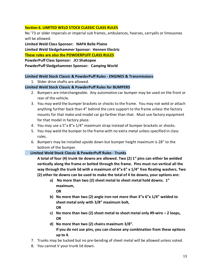#### **Section 6. LIMITED WELD STOCK CLASSIC CLASS RULES**

No '73 or older imperials or imperial sub frames, ambulances, hearses, carryalls or limousines will be allowed.

**Limited Weld Class Sponsor: NAPA Belle Plaine** 

**Limited Weld Sledgehammer Sponsor: Hennen Electric**

**These rules are also the POWDERPUFF CLASS RULES**

**PowderPuff Class Sponsor: JCI Shakopee** 

**PowderPuff Sledgehammer Sponsor: Camping World**

#### **Limited Weld Stock Classic & PowderPuff Rules - ENGINES & Transmissions**

1. Slider drive shafts are allowed.

## **Limited Weld Stock Classic & PowderPuff Rules for BUMPERS**

- 2. Bumpers are interchangeable. Any automotive car bumper may be used on the front or rear of the vehicle.
- 3. You may weld the bumper brackets or shocks to the frame. You may not weld or attach anything further back than 4" behind the core support to the frame unless the factory mounts for that make and model car go farther than that. Must use factory equipment for that model in factory place.
- 4. You may use a 5"x 8"x 1/4" maximum strap instead of bumper brackets or shocks.
- 5. You may weld the bumper to the frame with no extra metal unless specified in class rules.
- 6. Bumpers may be installed upside down but bumper height maximum is 28" to the bottom of the bumper.

## **Limited Weld Stock Classic & PowderPuff Rules - Trunks**

**A total of four (4) trunk tie downs are allowed. Two (2) 1" pins can either be welded vertically along the frame or bolted through the frame. Pins must run vertical all the way through the trunk lid with a maximum of 6"x 6" x 1/4" free floating washers. Two (2) other tie downs can be used to make the total of 4 tie downs, your options are:**

**a) No more than two (2) sheet metal to sheet metal hold downs. 1" maximum,** 

**OR**

- **b) No more than two (2) angle iron not more than 3"x 6"x 1/4" welded to sheet metal only with 3/8" maximum bolt, OR**
- **c) No more than two (2) sheet metal to sheet metal only #9-wire – 2 loops, OR**
- **d) No more than two (2) chains maximum 3/8". If you do not use pins, you can choose any combination from these options up to 4.**
- 7. Trunks may be tucked but no pre-bending of sheet metal will be allowed unless noted.
- 8. You cannot V your trunk lid down.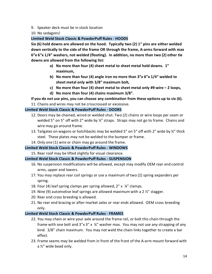9. Speaker deck must be in stock location

10. No sedagons!

## **Limited Weld Stock Classic & PowderPuff Rules - HOODS**

**Six (6) hold downs are allowed on the hood. Typically two (2) 1" pins are either welded down vertically to the side of the frame OR through the frame, A-arms forward with max 6"x 6"x 1/4" washers, not welded (floating). In addition, no more than two (2) other tie downs are allowed from the following list:**

- **a) No more than four (4) sheet metal to sheet metal hold downs. 1" maximum,**
- **b) No more than four (4) angle iron no more than 3"x 6"x 1/4" welded to sheet metal only with 3/8" maximum bolt,**
- **c) No more than four (4) sheet metal to sheet metal only #9-wire – 2 loops,**
- **d) No more than four (4) chains maximum 3/8".**

## **If you do not use pins, you can choose any combination from these options up to six (6).**

11. Chains and wires may not be crisscrossed or excessive.

## **Limited Weld Stock Classic & PowderPuff Rules - DOORS**

- 12. Doors may be chained, wired or welded shut. Two (2) chains or wire loops per seam or welded 5" on 5" off with 2" wide by ¼" straps. Straps may not go to frame. Chains and wire may go around frame.
- 13. Tailgates on wagons or hatchbacks may be welded 5" on 5" off with 2" wide by ¼" thick steel. These plates may not be welded to the bumper or frame.
- 14. Only one (1) wire or chain may go around the frame.

## **Limited Weld Stock Classic & PowderPuff Rules - WINDOWS**

15. Rear roof may be lifted slightly for visual clearance.

## **Limited Weld Stock Classic & PowderPuff Rules - SUSPENSION**

- 16. No suspension modifications will be allowed, except may modify OEM rear end control arms, upper and lowers.
- 17. You may replace rear coil springs or use a maximum of two (2) spring expanders per spring.
- 18. Four (4) leaf spring clamps per spring allowed,  $2'' \times 4''$  clamps.
- 19. Nine (9) automotive leaf springs are allowed maximum with a 2  $\frac{1}{2}$ " stagger.
- 20. Rear end cross breeding is allowed.
- 21. No rear end bracing or after-market axles or rear ends allowed. OEM cross breeding only.

## **Limited Weld Stock Classic & PowderPuff Rules - FRAMES**

- 22. You may chain or wire your axle around the frame rail, or bolt this chain through the frame with one bolt and  $3''$ x  $3''$  x  $\frac{1}{4}''$  washer max. You may not use any strapping of any kind. 3/8" chain maximum. You may not weld the chain links together to create a bar effect.
- 23. Frame seams may be welded from in front of the front of the A-arm mount forward with a ½" wide bead only.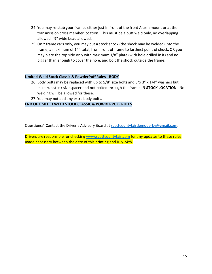- 24. You may re-stub your frames either just in front of the front A-arm mount or at the transmission cross member location. This must be a butt weld only, no overlapping allowed. ½" wide bead allowed.
- 25. On Y frame cars only, you may put a stock shock (the shock may be welded) into the frame, a maximum of 14" total, from front of frame to farthest point of shock. OR you may plate the top side only with maximum 1/8" plate (with hole drilled in it) and no bigger than enough to cover the hole, and bolt the shock outside the frame.

#### **Limited Weld Stock Classic & PowderPuff Rules - BODY**

- 26. Body bolts may be replaced with up to 5/8" size bolts and 3"x 3" x 1/4" washers but must run stock size spacer and not bolted through the frame, **IN STOCK LOCATION**. No welding will be allowed for these.
- 27. You may not add any extra body bolts.

#### **END OF LIMITED WELD STOCK CLASSIC & POWDERPUFF RULES**

Questions? Contact the Driver's Advisory Board at [scottcountyfairdemoderby@gmail.com.](mailto:scottcountyfairdemoderby@gmail.com)

Drivers are responsible for checking [www.scottcountyfair.com](http://www.scottcountyfair.com/) for any updates to these rules made necessary between the date of this printing and July 24th.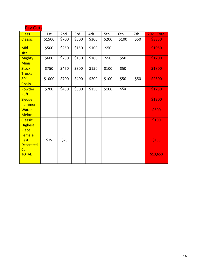| Pay Outs                               |        |       |       |       |       |       |      |            |
|----------------------------------------|--------|-------|-------|-------|-------|-------|------|------------|
| <b>Class</b>                           | 1st    | 2nd   | 3rd   | 4th   | 5th   | 6th   | 7th  | 2021 Total |
| <b>Classic</b>                         | \$1500 | \$700 | \$500 | \$300 | \$200 | \$100 | \$50 | \$3350     |
| Mid<br>size                            | \$500  | \$250 | \$150 | \$100 | \$50  |       |      | \$1050     |
| <b>Mighty</b><br><b>Minis</b>          | \$600  | \$250 | \$150 | \$100 | \$50  | \$50  |      | \$1200     |
| <b>Stock</b><br><b>Trucks</b>          | \$750  | \$450 | \$300 | \$150 | \$100 | \$50  |      | \$1800     |
| 80's<br>Chain                          | \$1000 | \$700 | \$400 | \$200 | \$100 | \$50  | \$50 | \$2500     |
| Powder<br>Puff                         | \$700  | \$450 | \$300 | \$150 | \$100 | \$50  |      | \$1750     |
| <b>Sledge</b><br>hammer                |        |       |       |       |       |       |      | \$1200     |
| Water<br><b>Melon</b>                  |        |       |       |       |       |       |      | \$600      |
| <b>Classic</b><br><b>Highest</b>       |        |       |       |       |       |       |      | \$100      |
| Place<br>Female                        |        |       |       |       |       |       |      |            |
| <b>Best</b><br><b>Decorated</b><br>Car | \$75   | \$25  |       |       |       |       |      | \$100      |
| <b>TOTAL</b>                           |        |       |       |       |       |       |      | \$13,650   |

Pay Outs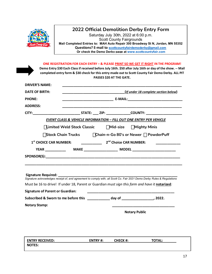

## **2022 Official Demolition Derby Entry Form**

Saturday July 30th, 2022 at 6:00 p.m. Scott County Fairgrounds **Mail Completed Entries to: MAH Auto Repair 300 Broadway St N, Jordan, MN 55352 Questions? E-mail to scottcountyfairdemoderby@gmail.com Or check the Demo Derby page at www.scottcountyfair.com**

**ONE REGISTRATION FOR EACH ENTRY – & PLEASE PRINT SO WE GET IT RIGHT IN THE PROGRAM!** 

**Demo Entry \$30 Each Class if received before July 16th. \$50 after July 16th or day of the show. -- Mail completed entry form & \$30 check for this entry made out to Scott County Fair Demo Derby. ALL PIT PASSES \$20 AT THE GATE.**

| <b>DRIVER'S NAME:</b>                   |  |                                                                                                 |                                                                                                                         |  |  |
|-----------------------------------------|--|-------------------------------------------------------------------------------------------------|-------------------------------------------------------------------------------------------------------------------------|--|--|
| <b>DATE OF BIRTH:</b>                   |  |                                                                                                 | (If under 18 complete section below)                                                                                    |  |  |
| <b>PHONE:</b>                           |  |                                                                                                 |                                                                                                                         |  |  |
| <b>ADDRESS:</b>                         |  |                                                                                                 |                                                                                                                         |  |  |
|                                         |  |                                                                                                 |                                                                                                                         |  |  |
|                                         |  | <b>EVENT CLASS &amp; VEHICLE INFORMATION - FILL OUT ONE ENTRY PER VEHICLE</b>                   |                                                                                                                         |  |  |
|                                         |  | <b>Limited Weld Stock Classic</b> DMid-size DMighty Minis                                       |                                                                                                                         |  |  |
|                                         |  | <b>Stock Chain Trucks</b> TChain-n-Go 80's or Newer newderPuff                                  |                                                                                                                         |  |  |
|                                         |  | 1 <sup>st</sup> CHOICE CAR NUMBER: 2 <sup>nd</sup> Choice CAR NUMBER:                           |                                                                                                                         |  |  |
|                                         |  |                                                                                                 |                                                                                                                         |  |  |
|                                         |  |                                                                                                 |                                                                                                                         |  |  |
|                                         |  |                                                                                                 |                                                                                                                         |  |  |
|                                         |  |                                                                                                 |                                                                                                                         |  |  |
|                                         |  |                                                                                                 | Signature acknowledges receipt of, and agreement to comply with, all Scott Co. Fair 2021 Demo Derby Rules & Regulations |  |  |
|                                         |  | Must be 16 to drive! If under 18, Parent or Guardian must sign this form and have it notarized: |                                                                                                                         |  |  |
| <b>Signature of Parent or Guardian:</b> |  |                                                                                                 |                                                                                                                         |  |  |
|                                         |  | Subscribed & Sworn to me before this ____________ day of ________________________, 2022.        |                                                                                                                         |  |  |
|                                         |  |                                                                                                 |                                                                                                                         |  |  |
| <b>Notary Stamp:</b>                    |  |                                                                                                 |                                                                                                                         |  |  |

| <b>ENTRY RECEIVED:</b> | <b>ENTRY #:</b> | <b>CHECK #:</b> | <b>TOTAL:</b> |
|------------------------|-----------------|-----------------|---------------|
| <b>NOTES:</b>          |                 |                 |               |